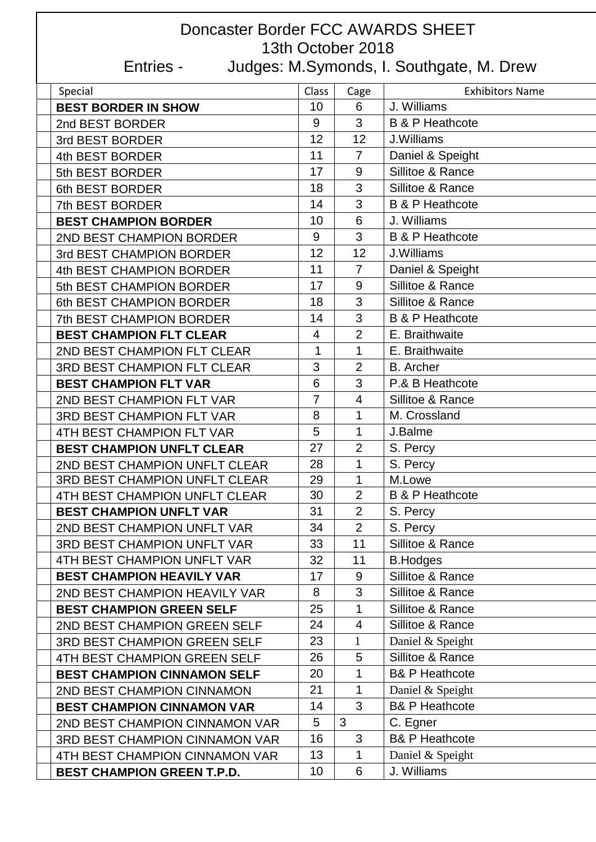## Doncaster Border FCC AWARDS SHEET 13th October 2018 Entries - Judges: M.Symonds, I. Southgate, M. Drew

| Special                               | Class          | Cage            | <b>Exhibitors Name</b>     |
|---------------------------------------|----------------|-----------------|----------------------------|
| <b>BEST BORDER IN SHOW</b>            | 10             | 6               | J. Williams                |
| 2nd BEST BORDER                       | 9              | 3               | <b>B &amp; P Heathcote</b> |
| 3rd BEST BORDER                       | 12             | 12              | J.Williams                 |
| 4th BEST BORDER                       | 11             | $\overline{7}$  | Daniel & Speight           |
| 5th BEST BORDER                       | 17             | 9               | Sillitoe & Rance           |
| 6th BEST BORDER                       | 18             | 3               | Sillitoe & Rance           |
| 7th BEST BORDER                       | 14             | 3               | <b>B &amp; P Heathcote</b> |
| <b>BEST CHAMPION BORDER</b>           | 10             | $6\phantom{1}6$ | J. Williams                |
| 2ND BEST CHAMPION BORDER              | 9              | 3               | <b>B &amp; P Heathcote</b> |
| 3rd BEST CHAMPION BORDER              | 12             | 12              | J.Williams                 |
| 4th BEST CHAMPION BORDER              | 11             | $\overline{7}$  | Daniel & Speight           |
| 5th BEST CHAMPION BORDER              | 17             | 9               | Sillitoe & Rance           |
| 6th BEST CHAMPION BORDER              | 18             | 3               | Sillitoe & Rance           |
| <b>7th BEST CHAMPION BORDER</b>       | 14             | 3               | <b>B &amp; P Heathcote</b> |
| <b>BEST CHAMPION FLT CLEAR</b>        | $\overline{4}$ | $\overline{2}$  | E. Braithwaite             |
| 2ND BEST CHAMPION FLT CLEAR           | 1              | $\mathbf 1$     | E. Braithwaite             |
| <b>3RD BEST CHAMPION FLT CLEAR</b>    | 3              | $\overline{2}$  | <b>B.</b> Archer           |
| <b>BEST CHAMPION FLT VAR</b>          | 6              | 3               | P.& B Heathcote            |
| 2ND BEST CHAMPION FLT VAR             | $\overline{7}$ | $\overline{4}$  | Sillitoe & Rance           |
| <b>3RD BEST CHAMPION FLT VAR</b>      | 8              | 1               | M. Crossland               |
| 4TH BEST CHAMPION FLT VAR             | 5              | 1               | J.Balme                    |
| <b>BEST CHAMPION UNFLT CLEAR</b>      | 27             | $\overline{2}$  | S. Percy                   |
| 2ND BEST CHAMPION UNFLT CLEAR         | 28             | 1               | S. Percy                   |
| <b>3RD BEST CHAMPION UNFLT CLEAR</b>  | 29             | 1               | M.Lowe                     |
| 4TH BEST CHAMPION UNFLT CLEAR         | 30             | $\overline{2}$  | <b>B &amp; P Heathcote</b> |
| <b>BEST CHAMPION UNFLT VAR</b>        | 31             | $\overline{2}$  | S. Percy                   |
| 2ND BEST CHAMPION UNFLT VAR           | 34             | $\overline{2}$  | S. Percy                   |
| <b>3RD BEST CHAMPION UNFLT VAR</b>    | 33             | 11              | Sillitoe & Rance           |
| 4TH BEST CHAMPION UNFLT VAR           | 32             | 11              | <b>B.Hodges</b>            |
| <b>BEST CHAMPION HEAVILY VAR</b>      | 17             | $9\,$           | Sillitoe & Rance           |
| 2ND BEST CHAMPION HEAVILY VAR         | 8              | 3               | Sillitoe & Rance           |
| <b>BEST CHAMPION GREEN SELF</b>       | 25             | $\mathbf{1}$    | Sillitoe & Rance           |
| 2ND BEST CHAMPION GREEN SELF          | 24             | $\overline{4}$  | Sillitoe & Rance           |
| <b>3RD BEST CHAMPION GREEN SELF</b>   | 23             | $\mathbf{1}$    | Daniel & Speight           |
| 4TH BEST CHAMPION GREEN SELF          | 26             | 5               | Sillitoe & Rance           |
| <b>BEST CHAMPION CINNAMON SELF</b>    | 20             | 1               | <b>B&amp; P Heathcote</b>  |
| 2ND BEST CHAMPION CINNAMON            | 21             | 1               | Daniel & Speight           |
| <b>BEST CHAMPION CINNAMON VAR</b>     | 14             | $\overline{3}$  | <b>B&amp; P Heathcote</b>  |
| 2ND BEST CHAMPION CINNAMON VAR        | 5              | 3               | C. Egner                   |
| <b>3RD BEST CHAMPION CINNAMON VAR</b> | 16             | 3               | <b>B&amp; P Heathcote</b>  |
| 4TH BEST CHAMPION CINNAMON VAR        | 13             | 1               | Daniel & Speight           |
| <b>BEST CHAMPION GREEN T.P.D.</b>     | 10             | 6               | J. Williams                |
|                                       |                |                 |                            |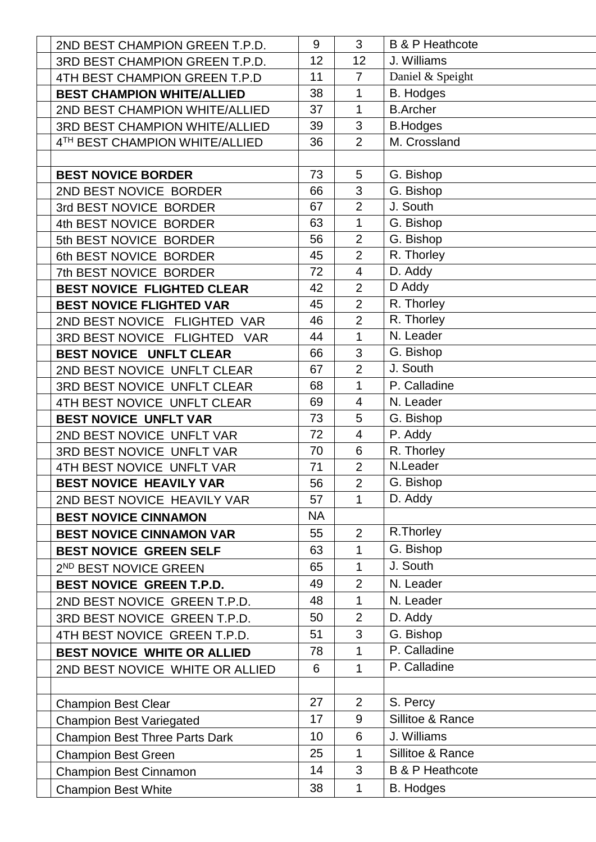| 2ND BEST CHAMPION GREEN T.P.D.        | 9         | 3               | <b>B &amp; P Heathcote</b> |
|---------------------------------------|-----------|-----------------|----------------------------|
| 3RD BEST CHAMPION GREEN T.P.D.        | 12        | 12              | J. Williams                |
| 4TH BEST CHAMPION GREEN T.P.D         | 11        | $\overline{7}$  | Daniel & Speight           |
| <b>BEST CHAMPION WHITE/ALLIED</b>     | 38        | 1               | <b>B.</b> Hodges           |
| 2ND BEST CHAMPION WHITE/ALLIED        | 37        | $\mathbf 1$     | <b>B.Archer</b>            |
| <b>3RD BEST CHAMPION WHITE/ALLIED</b> | 39        | 3               | <b>B.Hodges</b>            |
| 4TH BEST CHAMPION WHITE/ALLIED        | 36        | $\overline{2}$  | M. Crossland               |
|                                       |           |                 |                            |
| <b>BEST NOVICE BORDER</b>             | 73        | 5               | G. Bishop                  |
| 2ND BEST NOVICE BORDER                | 66        | 3               | G. Bishop                  |
| 3rd BEST NOVICE BORDER                | 67        | $\overline{2}$  | J. South                   |
| 4th BEST NOVICE BORDER                | 63        | $\mathbf{1}$    | G. Bishop                  |
| 5th BEST NOVICE BORDER                | 56        | $\overline{2}$  | G. Bishop                  |
| 6th BEST NOVICE BORDER                | 45        | $\overline{2}$  | R. Thorley                 |
| 7th BEST NOVICE BORDER                | 72        | $\overline{4}$  | D. Addy                    |
| <b>BEST NOVICE FLIGHTED CLEAR</b>     | 42        | $\overline{2}$  | D Addy                     |
| <b>BEST NOVICE FLIGHTED VAR</b>       | 45        | $\overline{2}$  | R. Thorley                 |
| 2ND BEST NOVICE FLIGHTED VAR          | 46        | $\overline{2}$  | R. Thorley                 |
| 3RD BEST NOVICE FLIGHTED VAR          | 44        | $\mathbf{1}$    | N. Leader                  |
| BEST NOVICE UNFLT CLEAR               | 66        | 3               | G. Bishop                  |
| 2ND BEST NOVICE UNFLT CLEAR           | 67        | $\overline{2}$  | J. South                   |
| 3RD BEST NOVICE UNFLT CLEAR           | 68        | 1               | P. Calladine               |
| 4TH BEST NOVICE UNFLT CLEAR           | 69        | $\overline{4}$  | N. Leader                  |
| <b>BEST NOVICE UNFLT VAR</b>          | 73        | 5               | G. Bishop                  |
| 2ND BEST NOVICE UNFLT VAR             | 72        | $\overline{4}$  | P. Addy                    |
| 3RD BEST NOVICE UNFLT VAR             | 70        | $6\phantom{1}6$ | R. Thorley                 |
| 4TH BEST NOVICE UNFLT VAR             | 71        | $\overline{2}$  | N.Leader                   |
| <b>BEST NOVICE HEAVILY VAR</b>        | 56        | $\overline{2}$  | G. Bishop                  |
| 2ND BEST NOVICE HEAVILY VAR           | 57        | $\mathbf 1$     | D. Addy                    |
| <b>BEST NOVICE CINNAMON</b>           | <b>NA</b> |                 |                            |
| <b>BEST NOVICE CINNAMON VAR</b>       | 55        | 2               | R.Thorley                  |
| <b>BEST NOVICE GREEN SELF</b>         | 63        | $\mathbf{1}$    | G. Bishop                  |
| 2 <sup>ND</sup> BEST NOVICE GREEN     | 65        | 1               | J. South                   |
| <b>BEST NOVICE GREEN T.P.D.</b>       | 49        | $\overline{2}$  | N. Leader                  |
| 2ND BEST NOVICE GREEN T.P.D.          | 48        | 1               | N. Leader                  |
| 3RD BEST NOVICE GREEN T.P.D.          | 50        | $\overline{2}$  | D. Addy                    |
| 4TH BEST NOVICE GREEN T.P.D.          | 51        | 3               | G. Bishop                  |
| <b>BEST NOVICE WHITE OR ALLIED</b>    | 78        | $\mathbf{1}$    | P. Calladine               |
| 2ND BEST NOVICE WHITE OR ALLIED       | 6         | $\mathbf{1}$    | P. Calladine               |
|                                       |           |                 |                            |
| <b>Champion Best Clear</b>            | 27        | $\overline{2}$  | S. Percy                   |
| <b>Champion Best Variegated</b>       | 17        | 9               | Sillitoe & Rance           |
| <b>Champion Best Three Parts Dark</b> | 10        | 6               | J. Williams                |
| <b>Champion Best Green</b>            | 25        | 1               | Sillitoe & Rance           |
| Champion Best Cinnamon                | 14        | 3               | <b>B &amp; P Heathcote</b> |
| <b>Champion Best White</b>            | 38        | $\mathbf{1}$    | <b>B.</b> Hodges           |
|                                       |           |                 |                            |